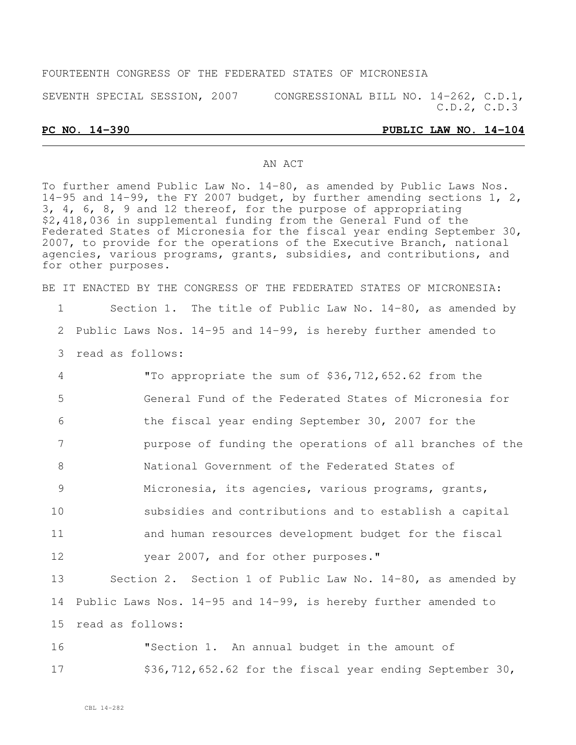#### FOURTEENTH CONGRESS OF THE FEDERATED STATES OF MICRONESIA

SEVENTH SPECIAL SESSION, 2007 CONGRESSIONAL BILL NO. 14-262, C.D.1,

#### **PC NO. 14-390 PUBLIC LAW NO. 14-104**

C.D.2, C.D.3

#### AN ACT

To further amend Public Law No. 14-80, as amended by Public Laws Nos. 14-95 and 14-99, the FY 2007 budget, by further amending sections 1, 2, 3, 4, 6, 8, 9 and 12 thereof, for the purpose of appropriating \$2,418,036 in supplemental funding from the General Fund of the Federated States of Micronesia for the fiscal year ending September 30, 2007, to provide for the operations of the Executive Branch, national agencies, various programs, grants, subsidies, and contributions, and for other purposes.

BE IT ENACTED BY THE CONGRESS OF THE FEDERATED STATES OF MICRONESIA:

| $\mathbf 1$ | Section 1. The title of Public Law No. 14-80, as amended by         |
|-------------|---------------------------------------------------------------------|
| 2           | Public Laws Nos. $14-95$ and $14-99$ , is hereby further amended to |
| 3           | read as follows:                                                    |
| 4           | "To appropriate the sum of \$36,712,652.62 from the                 |
| 5           | General Fund of the Federated States of Micronesia for              |
| 6           | the fiscal year ending September 30, 2007 for the                   |
| 7           | purpose of funding the operations of all branches of the            |
| 8           | National Government of the Federated States of                      |
| 9           | Micronesia, its agencies, various programs, grants,                 |
| 10          | subsidies and contributions and to establish a capital              |
| 11          | and human resources development budget for the fiscal               |
| 12          | year 2007, and for other purposes."                                 |
| 13          | Section 2. Section 1 of Public Law No. 14-80, as amended by         |
| 14          | Public Laws Nos. 14-95 and 14-99, is hereby further amended to      |
| 15          | read as follows:                                                    |
| 16          | "Section 1. An annual budget in the amount of                       |
| 17          | $$36, 712, 652.62$ for the fiscal year ending September 30,         |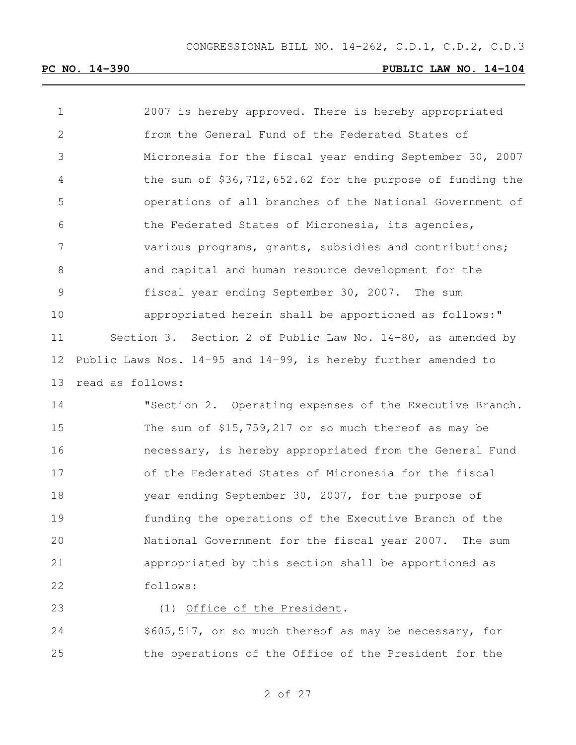2007 is hereby approved. There is hereby appropriated from the General Fund of the Federated States of Micronesia for the fiscal year ending September 30, 2007 the sum of \$36,712,652.62 for the purpose of funding the operations of all branches of the National Government of the Federated States of Micronesia, its agencies, various programs, grants, subsidies and contributions; and capital and human resource development for the fiscal year ending September 30, 2007. The sum appropriated herein shall be apportioned as follows:" Section 3. Section 2 of Public Law No. 14-80, as amended by Public Laws Nos. 14-95 and 14-99, is hereby further amended to read as follows:

 "Section 2. Operating expenses of the Executive Branch. The sum of \$15,759,217 or so much thereof as may be necessary, is hereby appropriated from the General Fund of the Federated States of Micronesia for the fiscal year ending September 30, 2007, for the purpose of funding the operations of the Executive Branch of the National Government for the fiscal year 2007. The sum appropriated by this section shall be apportioned as follows:

#### 23 (1) Office of the President.

 \$605,517, or so much thereof as may be necessary, for the operations of the Office of the President for the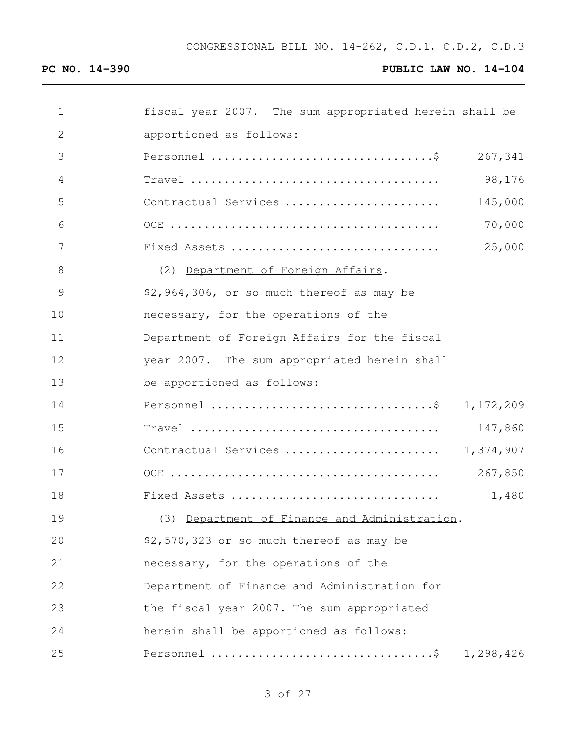| $\mathbf 1$  | fiscal year 2007. The sum appropriated herein shall be |           |
|--------------|--------------------------------------------------------|-----------|
| $\mathbf{2}$ | apportioned as follows:                                |           |
| 3            |                                                        | 267,341   |
| 4            |                                                        | 98,176    |
| 5            | Contractual Services                                   | 145,000   |
| 6            |                                                        | 70,000    |
| 7            | Fixed Assets                                           | 25,000    |
| 8            | (2) Department of Foreign Affairs.                     |           |
| 9            | \$2,964,306, or so much thereof as may be              |           |
| 10           | necessary, for the operations of the                   |           |
| 11           | Department of Foreign Affairs for the fiscal           |           |
| 12           | year 2007. The sum appropriated herein shall           |           |
| 13           | be apportioned as follows:                             |           |
| 14           | Personnel \$ 1,172,209                                 |           |
| 15           |                                                        | 147,860   |
| 16           | Contractual Services                                   | 1,374,907 |
| 17           |                                                        | 267,850   |
| 18           | Fixed Assets                                           | 1,480     |
| 19           | (3) Department of Finance and Administration.          |           |
| 20           | \$2,570,323 or so much thereof as may be               |           |
| 21           | necessary, for the operations of the                   |           |
| 22           | Department of Finance and Administration for           |           |
| 23           | the fiscal year 2007. The sum appropriated             |           |
| 24           | herein shall be apportioned as follows:                |           |
| 25           |                                                        | 1,298,426 |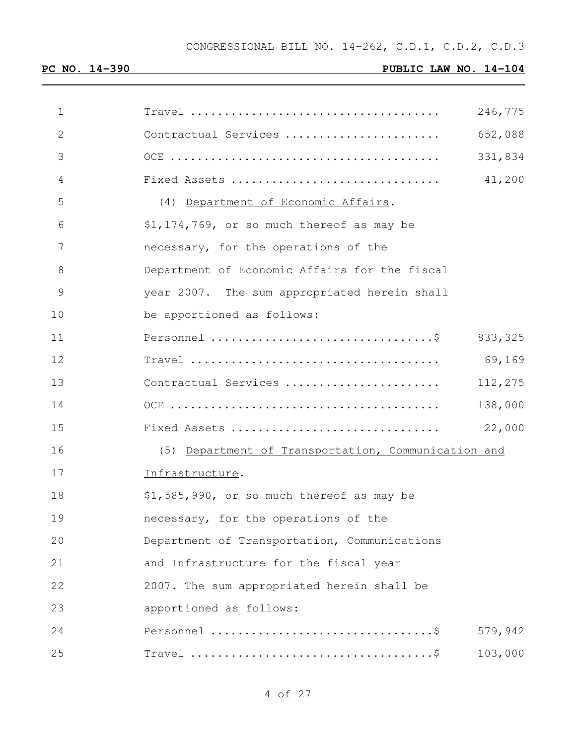| $\mathbf 1$    | 246,775                                             |
|----------------|-----------------------------------------------------|
| $\mathbf{2}$   | 652,088<br>Contractual Services                     |
| 3              | 331,834                                             |
| $\overline{4}$ | 41,200<br>Fixed Assets                              |
| 5              | (4) Department of Economic Affairs.                 |
| 6              | \$1,174,769, or so much thereof as may be           |
| 7              | necessary, for the operations of the                |
| 8              | Department of Economic Affairs for the fiscal       |
| $\mathcal{G}$  | year 2007. The sum appropriated herein shall        |
| 10             | be apportioned as follows:                          |
| 11             | 833, 325                                            |
| 12             | 69,169                                              |
| 13             | 112,275<br>Contractual Services                     |
| 14             | 138,000                                             |
| 15             | 22,000<br>Fixed Assets                              |
| 16             | (5) Department of Transportation, Communication and |
| 17             | Infrastructure.                                     |
| 18             | \$1,585,990, or so much thereof as may be           |
| 19             | necessary, for the operations of the                |
| 20             | Department of Transportation, Communications        |
| 21             | and Infrastructure for the fiscal year              |
| 22             | 2007. The sum appropriated herein shall be          |
| 23             | apportioned as follows:                             |
| 24             | 579,942                                             |
| 25             | 103,000                                             |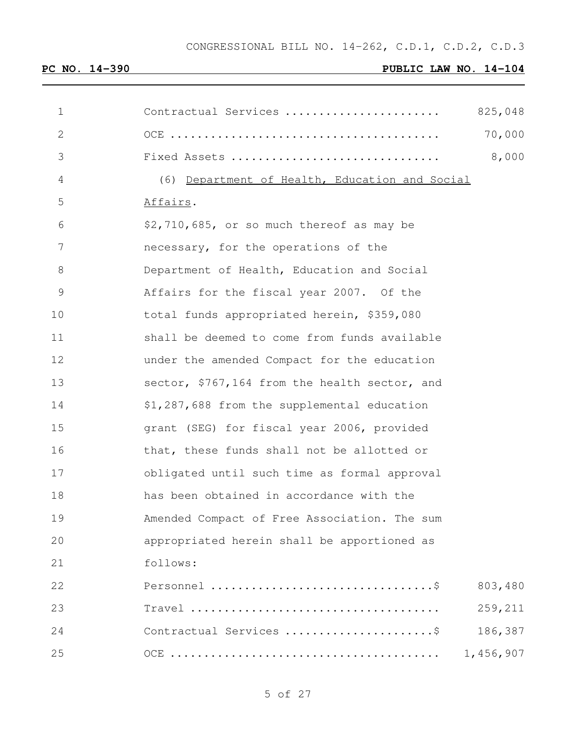| 1            | Contractual Services                           | 825,048   |
|--------------|------------------------------------------------|-----------|
| $\mathbf{2}$ |                                                | 70,000    |
| 3            | Fixed Assets                                   | 8,000     |
| 4            | (6) Department of Health, Education and Social |           |
| 5            | Affairs.                                       |           |
| 6            | \$2,710,685, or so much thereof as may be      |           |
| 7            | necessary, for the operations of the           |           |
| 8            | Department of Health, Education and Social     |           |
| 9            | Affairs for the fiscal year 2007. Of the       |           |
| 10           | total funds appropriated herein, \$359,080     |           |
| 11           | shall be deemed to come from funds available   |           |
| 12           | under the amended Compact for the education    |           |
| 13           | sector, \$767,164 from the health sector, and  |           |
| 14           | \$1,287,688 from the supplemental education    |           |
| 15           | grant (SEG) for fiscal year 2006, provided     |           |
| 16           | that, these funds shall not be allotted or     |           |
| 17           | obligated until such time as formal approval   |           |
| 18           | has been obtained in accordance with the       |           |
| 19           | Amended Compact of Free Association. The sum   |           |
| 20           | appropriated herein shall be apportioned as    |           |
| 21           | follows:                                       |           |
| 22           |                                                | 803,480   |
| 23           |                                                | 259,211   |
| 24           | Contractual Services \$                        | 186,387   |
| 25           |                                                | 1,456,907 |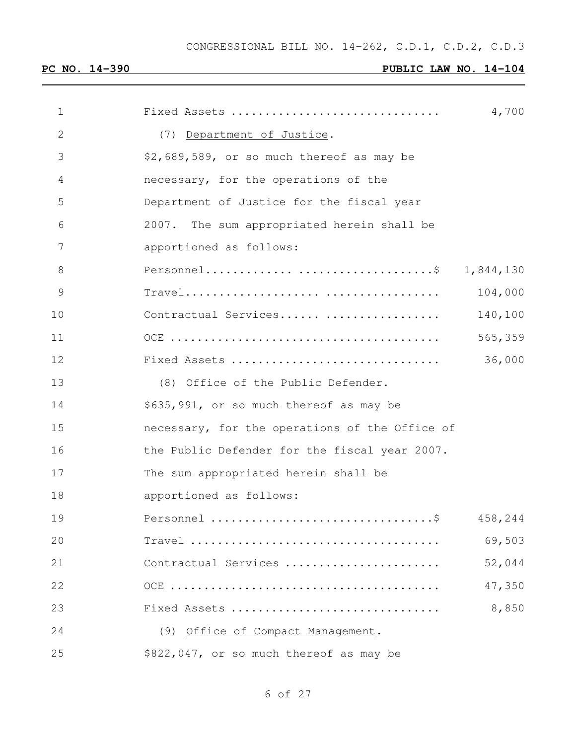| $\mathbf 1$   | Fixed Assets                                   | 4,700     |
|---------------|------------------------------------------------|-----------|
| $\mathbf{2}$  | (7) Department of Justice.                     |           |
| 3             | \$2,689,589, or so much thereof as may be      |           |
| 4             | necessary, for the operations of the           |           |
| 5             | Department of Justice for the fiscal year      |           |
| 6             | 2007. The sum appropriated herein shall be     |           |
| 7             | apportioned as follows:                        |           |
| 8             |                                                | 1,844,130 |
| $\mathcal{G}$ |                                                | 104,000   |
| 10            | Contractual Services                           | 140,100   |
| 11            |                                                | 565,359   |
| 12            | Fixed Assets                                   | 36,000    |
| 13            | (8) Office of the Public Defender.             |           |
| 14            | \$635,991, or so much thereof as may be        |           |
| 15            | necessary, for the operations of the Office of |           |
| 16            | the Public Defender for the fiscal year 2007.  |           |
| 17            | The sum appropriated herein shall be           |           |
| 18            | apportioned as follows:                        |           |
| 19            |                                                | 458,244   |
| 20            |                                                | 69,503    |
| 21            | Contractual Services                           | 52,044    |
| 22            |                                                | 47,350    |
| 23            | Fixed Assets                                   | 8,850     |
| 24            | (9) Office of Compact Management.              |           |
| 25            | \$822,047, or so much thereof as may be        |           |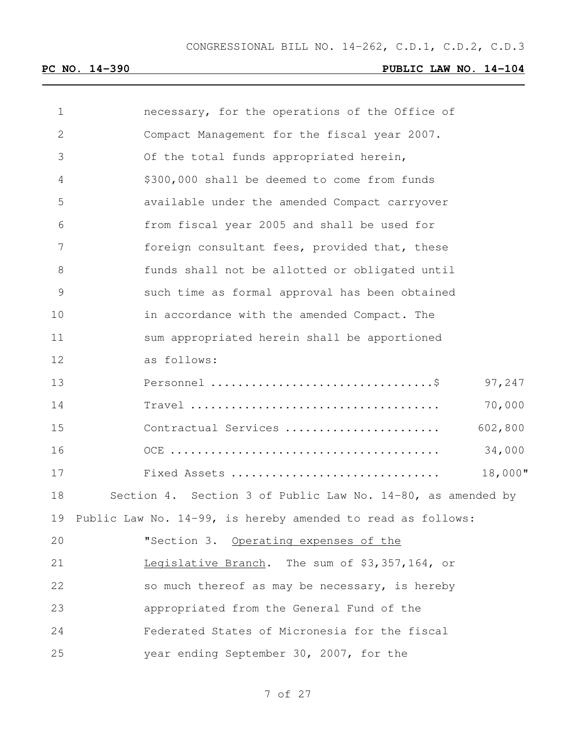| 1  | necessary, for the operations of the Office of              |
|----|-------------------------------------------------------------|
| 2  | Compact Management for the fiscal year 2007.                |
| 3  | Of the total funds appropriated herein,                     |
| 4  | \$300,000 shall be deemed to come from funds                |
| 5  | available under the amended Compact carryover               |
| 6  | from fiscal year 2005 and shall be used for                 |
| 7  | foreign consultant fees, provided that, these               |
| 8  | funds shall not be allotted or obligated until              |
| 9  | such time as formal approval has been obtained              |
| 10 | in accordance with the amended Compact. The                 |
| 11 | sum appropriated herein shall be apportioned                |
| 12 | as follows:                                                 |
| 13 | 97,247                                                      |
| 14 | 70,000                                                      |
| 15 | 602,800<br>Contractual Services                             |
| 16 | 34,000                                                      |
| 17 | 18,000"<br>Fixed Assets                                     |
| 18 | Section 4. Section 3 of Public Law No. 14-80, as amended by |
| 19 | Public Law No. 14-99, is hereby amended to read as follows: |
| 20 | "Section 3. Operating expenses of the                       |
| 21 | Legislative Branch. The sum of \$3,357,164, or              |
| 22 | so much thereof as may be necessary, is hereby              |
| 23 | appropriated from the General Fund of the                   |
| 24 | Federated States of Micronesia for the fiscal               |
| 25 | year ending September 30, 2007, for the                     |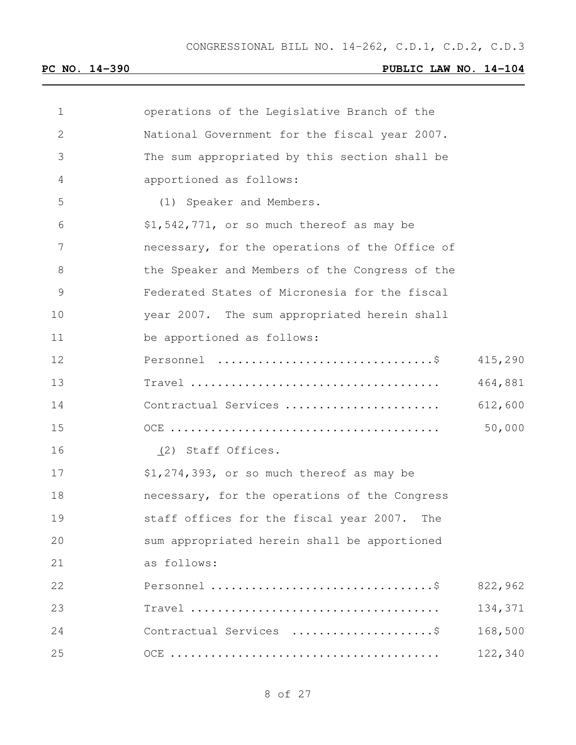| $\mathbf 1$ | operations of the Legislative Branch of the    |         |
|-------------|------------------------------------------------|---------|
| 2           | National Government for the fiscal year 2007.  |         |
| 3           | The sum appropriated by this section shall be  |         |
| 4           | apportioned as follows:                        |         |
| 5           | (1) Speaker and Members.                       |         |
| 6           | \$1,542,771, or so much thereof as may be      |         |
| 7           | necessary, for the operations of the Office of |         |
| 8           | the Speaker and Members of the Congress of the |         |
| 9           | Federated States of Micronesia for the fiscal  |         |
| 10          | year 2007. The sum appropriated herein shall   |         |
| 11          | be apportioned as follows:                     |         |
| 12          |                                                | 415,290 |
| 13          |                                                | 464,881 |
| 14          | Contractual Services                           | 612,600 |
| 15          |                                                | 50,000  |
| 16          | (2) Staff Offices.                             |         |
| 17          | \$1,274,393, or so much thereof as may be      |         |
| 18          | necessary, for the operations of the Congress  |         |
| 19          | staff offices for the fiscal year 2007.<br>The |         |
| 20          | sum appropriated herein shall be apportioned   |         |
| 21          | as follows:                                    |         |
| 22          |                                                | 822,962 |
| 23          |                                                | 134,371 |
| 24          | Contractual Services \$                        | 168,500 |
| 25          |                                                | 122,340 |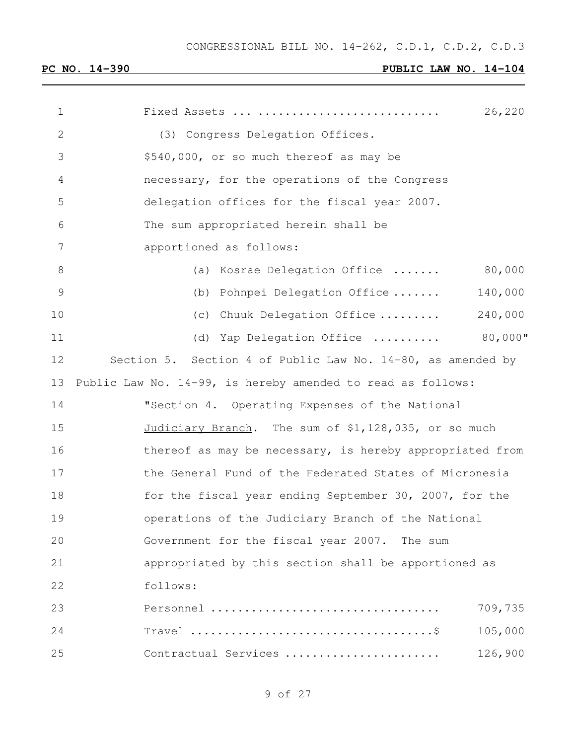| 1             | 26,220<br>Fixed Assets                                      |
|---------------|-------------------------------------------------------------|
| $\mathbf{2}$  | (3) Congress Delegation Offices.                            |
| 3             | \$540,000, or so much thereof as may be                     |
| 4             | necessary, for the operations of the Congress               |
| 5             | delegation offices for the fiscal year 2007.                |
| 6             | The sum appropriated herein shall be                        |
| 7             | apportioned as follows:                                     |
| 8             | 80,000<br>(a) Kosrae Delegation Office                      |
| $\mathcal{G}$ | Pohnpei Delegation Office<br>140,000<br>(b)                 |
| 10            | 240,000<br>Chuuk Delegation Office<br>(C)                   |
| 11            | $80,000$ "<br>Yap Delegation Office<br>(d)                  |
| 12            | Section 5. Section 4 of Public Law No. 14-80, as amended by |
| 13            | Public Law No. 14-99, is hereby amended to read as follows: |
| 14            | "Section 4. Operating Expenses of the National              |
| 15            | Judiciary Branch. The sum of \$1,128,035, or so much        |
| 16            | thereof as may be necessary, is hereby appropriated from    |
| 17            | the General Fund of the Federated States of Micronesia      |
| 18            | for the fiscal year ending September 30, 2007, for the      |
| 19            | operations of the Judiciary Branch of the National          |
| 20            | Government for the fiscal year 2007. The sum                |
| 21            | appropriated by this section shall be apportioned as        |
| 22            | follows:                                                    |
| 23            | Personnel<br>709,735                                        |
| 24            | 105,000                                                     |
| 25            | Contractual Services<br>126,900                             |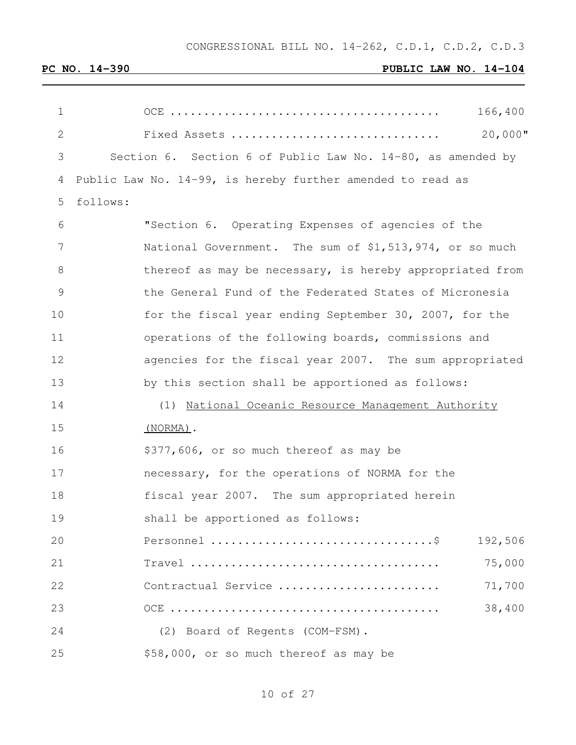CONGRESSIONAL BILL NO. 14-262, C.D.1, C.D.2, C.D.3

# **PC NO. 14-390 PUBLIC LAW NO. 14-104**

| 1             | 166,400                                                                                          |
|---------------|--------------------------------------------------------------------------------------------------|
| $\mathbf{2}$  | $20,000$ "<br>Fixed Assets                                                                       |
| 3             | Section 6. Section 6 of Public Law No. 14-80, as amended by                                      |
| 4             | Public Law No. 14-99, is hereby further amended to read as                                       |
| 5             | follows:                                                                                         |
| 6             | "Section 6. Operating Expenses of agencies of the                                                |
| 7             | National Government. The sum of \$1,513,974, or so much                                          |
| 8             | thereof as may be necessary, is hereby appropriated from                                         |
| $\mathcal{G}$ | the General Fund of the Federated States of Micronesia                                           |
| 10            | for the fiscal year ending September 30, 2007, for the                                           |
| 11            | operations of the following boards, commissions and                                              |
| 12            | agencies for the fiscal year 2007. The sum appropriated                                          |
| 13            | by this section shall be apportioned as follows:                                                 |
| 14            | (1) National Oceanic Resource Management Authority                                               |
| 15            | $(NORMA)$ .                                                                                      |
| 16            | \$377,606, or so much thereof as may be                                                          |
| 17            | necessary, for the operations of NORMA for the                                                   |
| 18            | fiscal year 2007. The sum appropriated herein                                                    |
| 19            | shall be apportioned as follows:                                                                 |
| 20            | 192,506                                                                                          |
| 21            | 75,000<br>$Travel \dots \dots \dots \dots \dots \dots \dots \dots \dots \dots \dots \dots \dots$ |
| 22            | 71,700<br>Contractual Service                                                                    |
| 23            | 38,400                                                                                           |
| 24            | (2) Board of Regents (COM-FSM).                                                                  |
| 25            | \$58,000, or so much thereof as may be                                                           |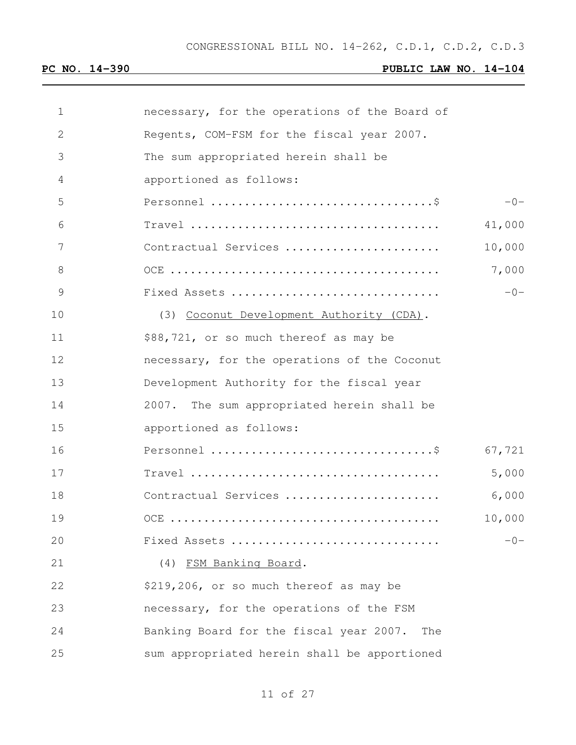| $\mathbf{1}$ | necessary, for the operations of the Board of  |        |
|--------------|------------------------------------------------|--------|
| $\mathbf{2}$ | Regents, COM-FSM for the fiscal year 2007.     |        |
| 3            | The sum appropriated herein shall be           |        |
| 4            | apportioned as follows:                        |        |
| 5            |                                                | $-0-$  |
| 6            |                                                | 41,000 |
| 7            | Contractual Services                           | 10,000 |
| 8            |                                                | 7,000  |
| 9            | Fixed Assets                                   | $-0-$  |
| 10           | (3) Coconut Development Authority (CDA).       |        |
| 11           | \$88,721, or so much thereof as may be         |        |
| 12           | necessary, for the operations of the Coconut   |        |
| 13           | Development Authority for the fiscal year      |        |
| 14           | 2007. The sum appropriated herein shall be     |        |
| 15           | apportioned as follows:                        |        |
| 16           |                                                | 67,721 |
| 17           |                                                | 5,000  |
| 18           | Contractual Services                           | 6,000  |
| 19           |                                                | 10,000 |
| 20           | Fixed Assets                                   | $-0-$  |
| 21           | (4) FSM Banking Board.                         |        |
| 22           | \$219,206, or so much thereof as may be        |        |
| 23           | necessary, for the operations of the FSM       |        |
| 24           | Banking Board for the fiscal year 2007.<br>The |        |
| 25           | sum appropriated herein shall be apportioned   |        |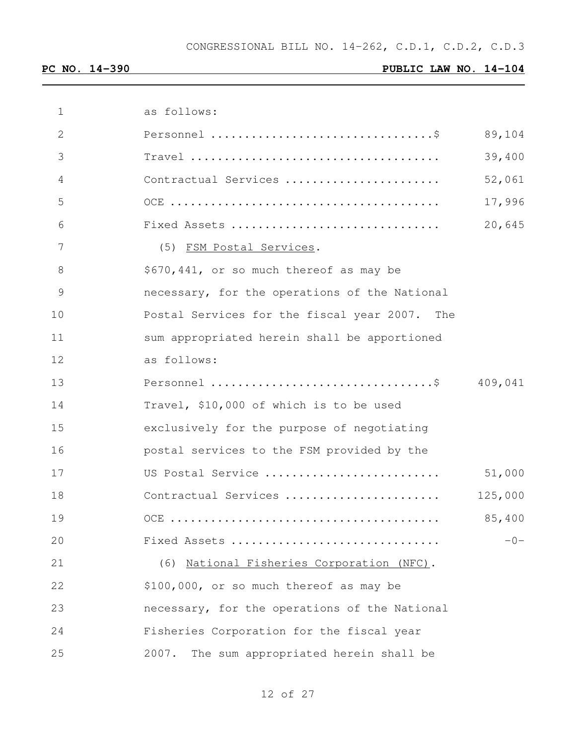| $\mathbf{1}$ | as follows:                                   |         |
|--------------|-----------------------------------------------|---------|
| $\mathbf{2}$ |                                               | 89,104  |
| 3            |                                               | 39,400  |
| 4            | Contractual Services                          | 52,061  |
| 5            |                                               | 17,996  |
| 6            | Fixed Assets                                  | 20,645  |
| 7            | (5) FSM Postal Services.                      |         |
| 8            | \$670,441, or so much thereof as may be       |         |
| 9            | necessary, for the operations of the National |         |
| 10           | Postal Services for the fiscal year 2007. The |         |
| 11           | sum appropriated herein shall be apportioned  |         |
| 12           | as follows:                                   |         |
| 13           |                                               | 409,041 |
| 14           | Travel, \$10,000 of which is to be used       |         |
| 15           | exclusively for the purpose of negotiating    |         |
| 16           | postal services to the FSM provided by the    |         |
| 17           | US Postal Service                             | 51,000  |
| 18           | Contractual Services                          | 125,000 |
| 19           |                                               | 85,400  |
| 20           | Fixed Assets                                  | $-0-$   |
| 21           | (6) National Fisheries Corporation (NFC).     |         |
| 22           | \$100,000, or so much thereof as may be       |         |
| 23           | necessary, for the operations of the National |         |
| 24           | Fisheries Corporation for the fiscal year     |         |
| 25           | 2007.<br>The sum appropriated herein shall be |         |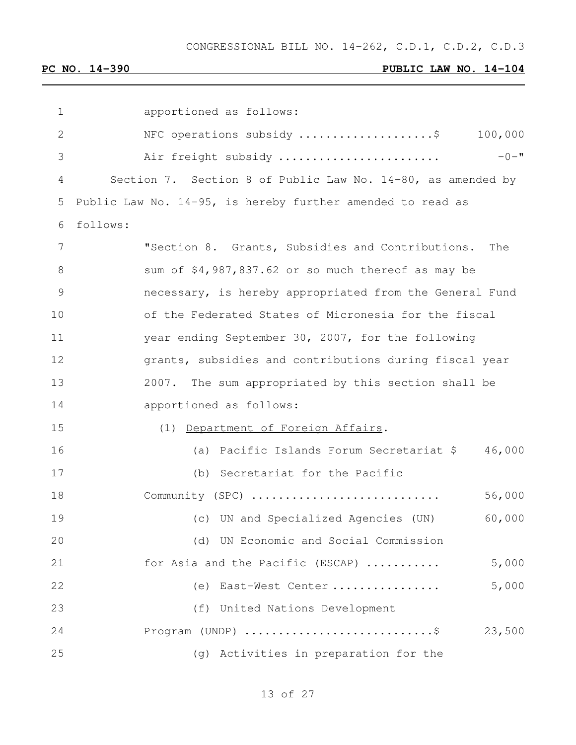| 1             | apportioned as follows:                                                               |
|---------------|---------------------------------------------------------------------------------------|
| $\mathbf{2}$  | NFC operations subsidy \$<br>100,000                                                  |
| 3             | $-0 -$ "<br>Air freight subsidy                                                       |
| 4             | Section 7. Section 8 of Public Law No. 14-80, as amended by                           |
| 5             | Public Law No. 14-95, is hereby further amended to read as                            |
| 6             | follows:                                                                              |
| 7             | "Section 8. Grants, Subsidies and Contributions.<br>The                               |
| 8             | sum of \$4,987,837.62 or so much thereof as may be                                    |
| $\mathcal{G}$ | necessary, is hereby appropriated from the General Fund                               |
| 10            | of the Federated States of Micronesia for the fiscal                                  |
| 11            | year ending September 30, 2007, for the following                                     |
| 12            | grants, subsidies and contributions during fiscal year                                |
| 13            | 2007. The sum appropriated by this section shall be                                   |
| 14            | apportioned as follows:                                                               |
| 15            | (1) Department of Foreign Affairs.                                                    |
| 16            | 46,000<br>(a) Pacific Islands Forum Secretariat \$                                    |
| 17            | (b) Secretariat for the Pacific                                                       |
| 18            | Community (SPC)<br>56,000                                                             |
| 19            | 60,000<br>(c) UN and Specialized Agencies (UN)                                        |
| 20            | (d) UN Economic and Social Commission                                                 |
| 21            | 5,000<br>for Asia and the Pacific (ESCAP)                                             |
| 22            | 5,000<br>East-West Center<br>(e)                                                      |
| 23            | (f) United Nations Development                                                        |
| 24            | Program (UNDP) $\ldots \ldots \ldots \ldots \ldots \ldots \ldots \ldots$ \$<br>23,500 |
| 25            | (g) Activities in preparation for the                                                 |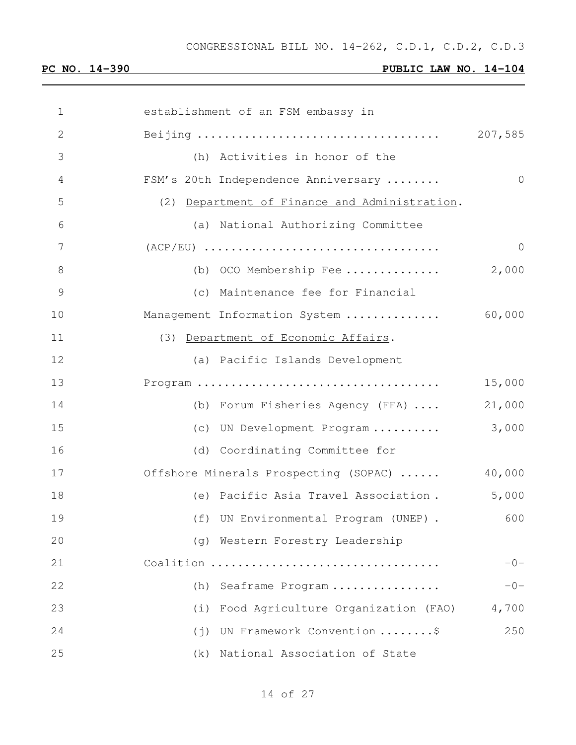| 1  | establishment of an FSM embassy in            |            |
|----|-----------------------------------------------|------------|
| 2  |                                               | 207,585    |
| 3  | (h) Activities in honor of the                |            |
| 4  | FSM's 20th Independence Anniversary           | $\bigcirc$ |
| 5  | (2) Department of Finance and Administration. |            |
| 6  | (a) National Authorizing Committee            |            |
| 7  |                                               | $\Omega$   |
| 8  | (b) OCO Membership Fee                        | 2,000      |
| 9  | (c) Maintenance fee for Financial             |            |
| 10 | Management Information System                 | 60,000     |
| 11 | (3) Department of Economic Affairs.           |            |
| 12 | (a) Pacific Islands Development               |            |
| 13 |                                               | 15,000     |
| 14 | (b) Forum Fisheries Agency (FFA)              | 21,000     |
| 15 | (c) UN Development Program                    | 3,000      |
| 16 | (d) Coordinating Committee for                |            |
| 17 | Offshore Minerals Prospecting (SOPAC)         | 40,000     |
| 18 | (e) Pacific Asia Travel Association.          | 5,000      |
| 19 | (f) UN Environmental Program (UNEP).          | 600        |
| 20 | (g) Western Forestry Leadership               |            |
| 21 | Coalition                                     | $-0-$      |
| 22 | Seaframe Program<br>(h)                       | $-0-$      |
| 23 | Food Agriculture Organization (FAO)<br>(i)    | 4,700      |
| 24 | UN Framework Convention \$<br>(j)             | 250        |
| 25 | National Association of State<br>(k)          |            |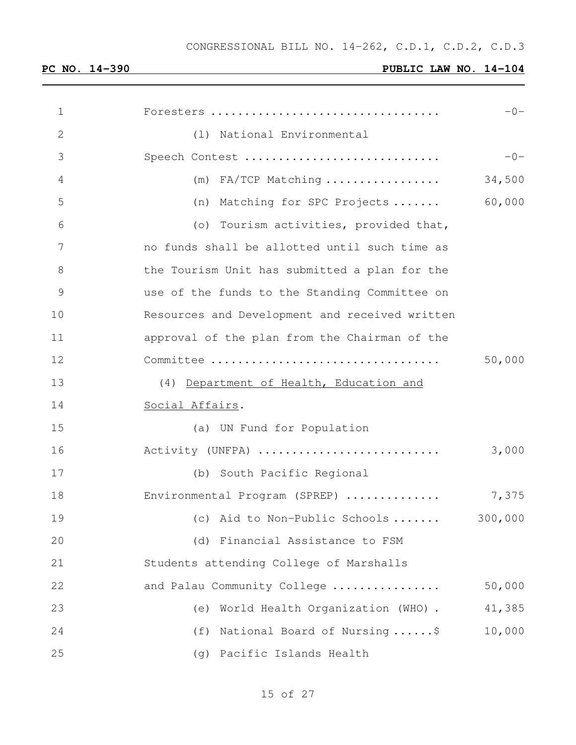| 1  | Foresters                                      | $-0-$   |
|----|------------------------------------------------|---------|
| 2  | (1) National Environmental                     |         |
| 3  | Speech Contest                                 | $-0-$   |
| 4  | $(m)$ FA/TCP Matching                          | 34,500  |
| 5  | (n) Matching for SPC Projects                  | 60,000  |
| 6  | (o) Tourism activities, provided that,         |         |
| 7  | no funds shall be allotted until such time as  |         |
| 8  | the Tourism Unit has submitted a plan for the  |         |
| 9  | use of the funds to the Standing Committee on  |         |
| 10 | Resources and Development and received written |         |
| 11 | approval of the plan from the Chairman of the  |         |
| 12 |                                                | 50,000  |
| 13 | (4) Department of Health, Education and        |         |
| 14 | Social Affairs.                                |         |
| 15 | (a) UN Fund for Population                     |         |
| 16 | Activity (UNFPA)                               | 3,000   |
| 17 | (b) South Pacific Regional                     |         |
| 18 | Environmental Program (SPREP)                  | 7,375   |
| 19 | (c) Aid to Non-Public Schools                  | 300,000 |
| 20 | (d) Financial Assistance to FSM                |         |
| 21 | Students attending College of Marshalls        |         |
| 22 | and Palau Community College                    | 50,000  |
| 23 | World Health Organization (WHO).<br>(e)        | 41,385  |
| 24 | National Board of Nursing\$<br>(f)             | 10,000  |
| 25 | Pacific Islands Health<br>(g)                  |         |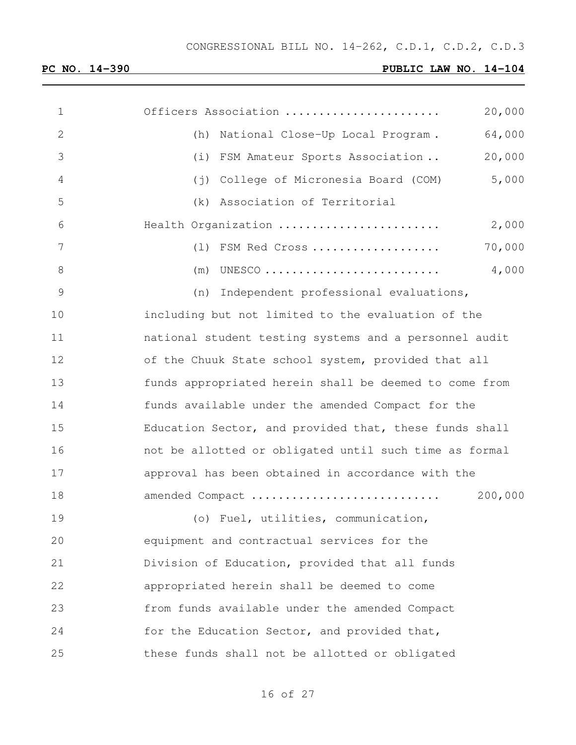| $\mathbf 1$   | Officers Association                                   | 20,000  |
|---------------|--------------------------------------------------------|---------|
| $\mathbf{2}$  | (h)<br>National Close-Up Local Program.                | 64,000  |
| 3             | FSM Amateur Sports Association<br>(i)                  | 20,000  |
| 4             | College of Micronesia Board (COM)<br>$(\dagger)$       | 5,000   |
| 5             | Association of Territorial<br>(k)                      |         |
| 6             | Health Organization                                    | 2,000   |
| 7             | (1) FSM Red Cross                                      | 70,000  |
| $8\,$         | UNESCO<br>(m)                                          | 4,000   |
| $\mathcal{G}$ | Independent professional evaluations,<br>(n)           |         |
| 10            | including but not limited to the evaluation of the     |         |
| 11            | national student testing systems and a personnel audit |         |
| 12            | of the Chuuk State school system, provided that all    |         |
| 13            | funds appropriated herein shall be deemed to come from |         |
| 14            | funds available under the amended Compact for the      |         |
| 15            | Education Sector, and provided that, these funds shall |         |
| 16            | not be allotted or obligated until such time as formal |         |
| 17            | approval has been obtained in accordance with the      |         |
| 18            | amended Compact                                        | 200,000 |
| 19            | (o) Fuel, utilities, communication,                    |         |
| 20            | equipment and contractual services for the             |         |
| 21            | Division of Education, provided that all funds         |         |
| 22            | appropriated herein shall be deemed to come            |         |
| 23            | from funds available under the amended Compact         |         |
| 24            | for the Education Sector, and provided that,           |         |
| 25            | these funds shall not be allotted or obligated         |         |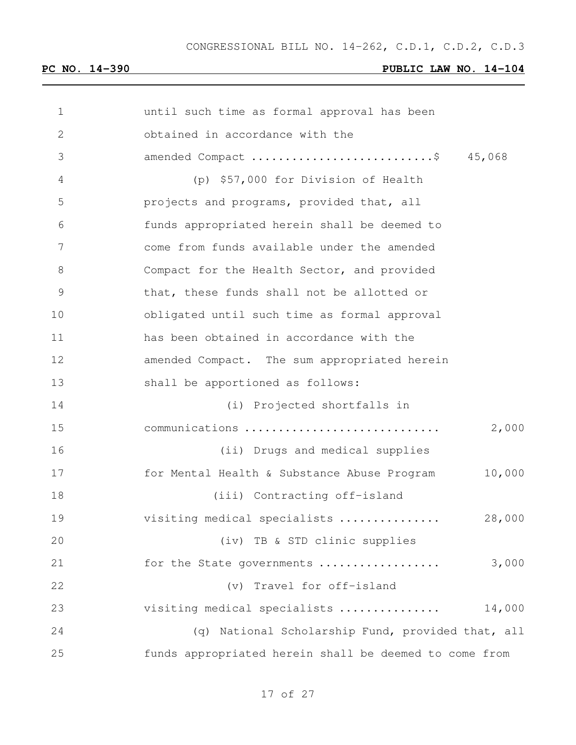| 1             | until such time as formal approval has been            |
|---------------|--------------------------------------------------------|
| $\mathbf{2}$  | obtained in accordance with the                        |
| 3             | amended Compact \$ 45,068                              |
| 4             | (p) \$57,000 for Division of Health                    |
| 5             | projects and programs, provided that, all              |
| 6             | funds appropriated herein shall be deemed to           |
| 7             | come from funds available under the amended            |
| 8             | Compact for the Health Sector, and provided            |
| $\mathcal{G}$ | that, these funds shall not be allotted or             |
| 10            | obligated until such time as formal approval           |
| 11            | has been obtained in accordance with the               |
| 12            | amended Compact. The sum appropriated herein           |
| 13            | shall be apportioned as follows:                       |
| 14            | (i) Projected shortfalls in                            |
| 15            | 2,000<br>communications                                |
| 16            | (ii) Drugs and medical supplies                        |
| 17            | 10,000<br>for Mental Health & Substance Abuse Program  |
| 18            | (iii) Contracting off-island                           |
| 19            | visiting medical specialists<br>28,000                 |
| 20            | (iv) TB & STD clinic supplies                          |
| 21            | 3,000<br>for the State governments                     |
| 22            | (v) Travel for off-island                              |
| 23            | 14,000<br>visiting medical specialists                 |
| 24            | National Scholarship Fund, provided that, all<br>(q)   |
| 25            | funds appropriated herein shall be deemed to come from |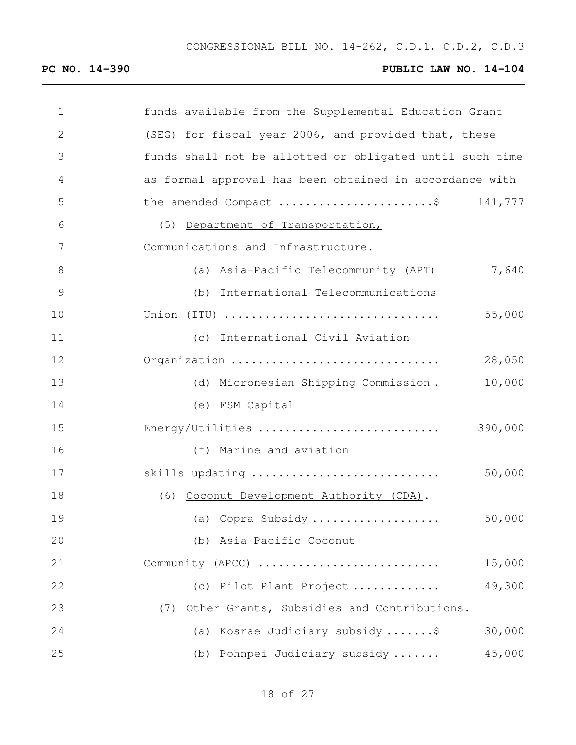| 1  | funds available from the Supplemental Education Grant    |
|----|----------------------------------------------------------|
| 2  | (SEG) for fiscal year 2006, and provided that, these     |
| 3  | funds shall not be allotted or obligated until such time |
| 4  | as formal approval has been obtained in accordance with  |
| 5  | the amended Compact \$<br>141,777                        |
| 6  | (5) Department of Transportation,                        |
| 7  | Communications and Infrastructure.                       |
| 8  | 7,640<br>(a) Asia-Pacific Telecommunity (APT)            |
| 9  | (b) International Telecommunications                     |
| 10 | Union (ITU)<br>55,000                                    |
| 11 | (c) International Civil Aviation                         |
| 12 | Organization<br>28,050                                   |
| 13 | 10,000<br>(d) Micronesian Shipping Commission.           |
| 14 | (e) FSM Capital                                          |
| 15 | Energy/Utilities<br>390,000                              |
| 16 | (f) Marine and aviation                                  |
| 17 | 50,000<br>skills updating                                |
| 18 | (6) Coconut Development Authority (CDA).                 |
| 19 | 50,000<br>(a) Copra Subsidy                              |
| 20 | (b) Asia Pacific Coconut                                 |
| 21 | 15,000<br>Community (APCC)                               |
| 22 | 49,300<br>(c) Pilot Plant Project                        |
| 23 | Other Grants, Subsidies and Contributions.<br>(7)        |
| 24 | Kosrae Judiciary subsidy \$<br>30,000<br>(a)             |
| 25 | 45,000<br>(b) Pohnpei Judiciary subsidy                  |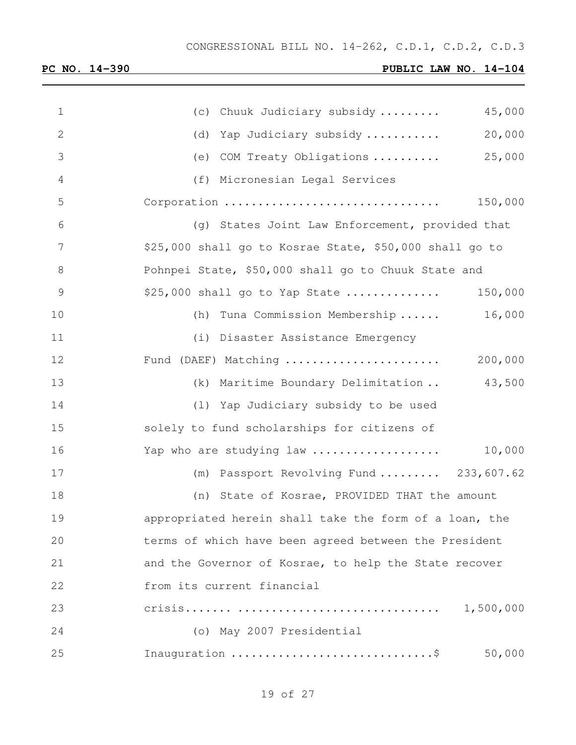| $\mathbf 1$  | 45,000<br>(c) Chuuk Judiciary subsidy                   |
|--------------|---------------------------------------------------------|
| $\mathbf{2}$ | 20,000<br>(d) Yap Judiciary subsidy                     |
| 3            | 25,000<br>(e) COM Treaty Obligations                    |
| 4            | (f) Micronesian Legal Services                          |
| 5            | Corporation<br>150,000                                  |
| 6            | (g) States Joint Law Enforcement, provided that         |
| 7            | \$25,000 shall go to Kosrae State, \$50,000 shall go to |
| $8\,$        | Pohnpei State, \$50,000 shall go to Chuuk State and     |
| $\mathsf 9$  | 150,000<br>$$25,000$ shall go to Yap State              |
| 10           | 16,000<br>(h) Tuna Commission Membership                |
| 11           | (i) Disaster Assistance Emergency                       |
| 12           | Fund (DAEF) Matching<br>200,000                         |
| 13           | 43,500<br>(k) Maritime Boundary Delimitation            |
| 14           | (1) Yap Judiciary subsidy to be used                    |
| 15           | solely to fund scholarships for citizens of             |
| 16           | 10,000<br>Yap who are studying law                      |
| 17           | $(m)$ Passport Revolving Fund  233,607.62               |
| 18           | (n) State of Kosrae, PROVIDED THAT the amount           |
| 19           | appropriated herein shall take the form of a loan, the  |
| 20           | terms of which have been agreed between the President   |
| 21           | and the Governor of Kosrae, to help the State recover   |
| 22           | from its current financial                              |
| 23           | 1,500,000                                               |
| 24           | (o) May 2007 Presidential                               |
| 25           | 50,000                                                  |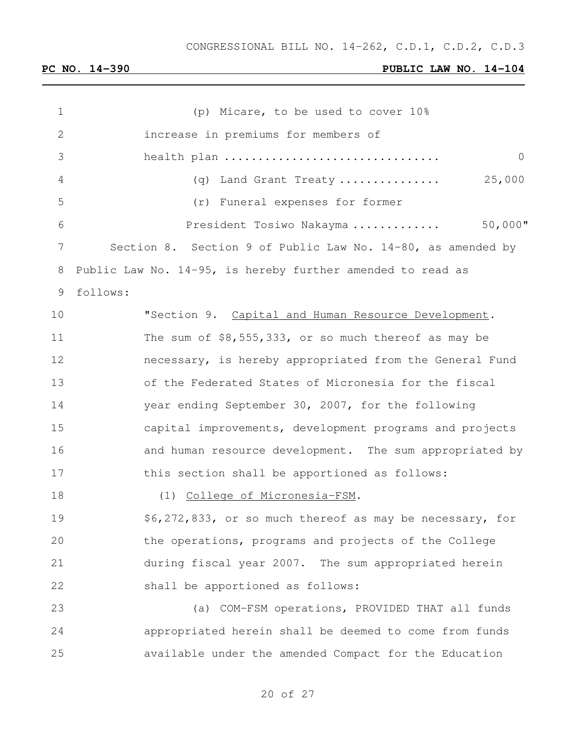| $\mathbf 1$    | (p) Micare, to be used to cover 10%                         |
|----------------|-------------------------------------------------------------|
| $\mathbf{2}$   | increase in premiums for members of                         |
| 3              | $\overline{0}$<br>health plan                               |
| 4              | 25,000<br>(q) Land Grant Treaty                             |
| 5              | (r) Funeral expenses for former                             |
| 6              | $50,000$ "<br>President Tosiwo Nakayma                      |
| $7\phantom{.}$ | Section 8. Section 9 of Public Law No. 14-80, as amended by |
| 8              | Public Law No. 14-95, is hereby further amended to read as  |
| 9              | follows:                                                    |
| 10             | "Section 9. Capital and Human Resource Development.         |
| 11             | The sum of $$8,555,333$ , or so much thereof as may be      |
| 12             | necessary, is hereby appropriated from the General Fund     |
| 13             | of the Federated States of Micronesia for the fiscal        |
| 14             | year ending September 30, 2007, for the following           |
| 15             | capital improvements, development programs and projects     |
| 16             | and human resource development. The sum appropriated by     |
| 17             | this section shall be apportioned as follows:               |
| 18             | (1) College of Micronesia-FSM.                              |
| 19             | \$6,272,833, or so much thereof as may be necessary, for    |
| 20             | the operations, programs and projects of the College        |
| 21             | during fiscal year 2007. The sum appropriated herein        |
| 22             | shall be apportioned as follows:                            |
| 23             | (a) COM-FSM operations, PROVIDED THAT all funds             |
| 24             | appropriated herein shall be deemed to come from funds      |
| 25             | available under the amended Compact for the Education       |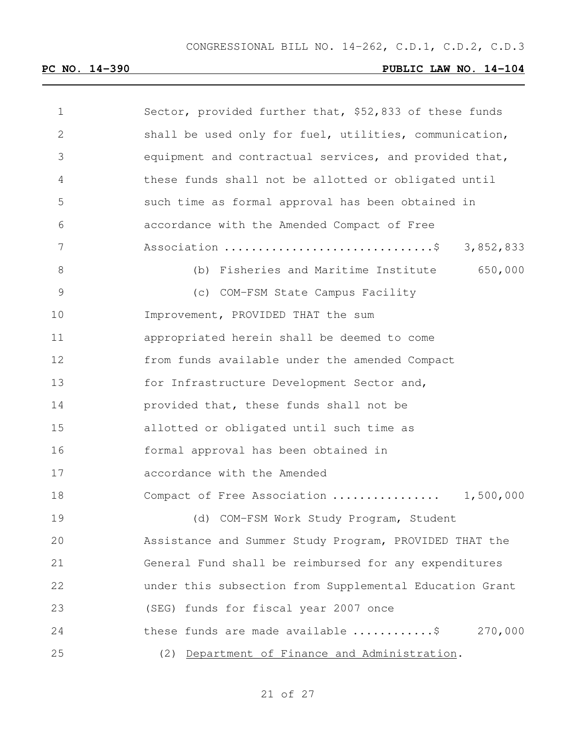| 1             | Sector, provided further that, \$52,833 of these funds            |
|---------------|-------------------------------------------------------------------|
| 2             | shall be used only for fuel, utilities, communication,            |
| 3             | equipment and contractual services, and provided that,            |
| 4             | these funds shall not be allotted or obligated until              |
| 5             | such time as formal approval has been obtained in                 |
| 6             | accordance with the Amended Compact of Free                       |
| 7             | Association \$ 3,852,833                                          |
| 8             | (b) Fisheries and Maritime Institute 650,000                      |
| $\mathcal{G}$ | (c) COM-FSM State Campus Facility                                 |
| 10            | Improvement, PROVIDED THAT the sum                                |
| 11            | appropriated herein shall be deemed to come                       |
| 12            | from funds available under the amended Compact                    |
| 13            | for Infrastructure Development Sector and,                        |
| 14            | provided that, these funds shall not be                           |
| 15            | allotted or obligated until such time as                          |
| 16            | formal approval has been obtained in                              |
| 17            | accordance with the Amended                                       |
| 18            | Compact of Free Association  1,500,000                            |
| 19            | (d) COM-FSM Work Study Program, Student                           |
| 20            | Assistance and Summer Study Program, PROVIDED THAT the            |
| 21            | General Fund shall be reimbursed for any expenditures             |
| 22            | under this subsection from Supplemental Education Grant           |
| 23            | (SEG) funds for fiscal year 2007 once                             |
| 24            | these funds are made available $\ldots \ldots \ldots$ , \$270,000 |
| 25            | (2) Department of Finance and Administration.                     |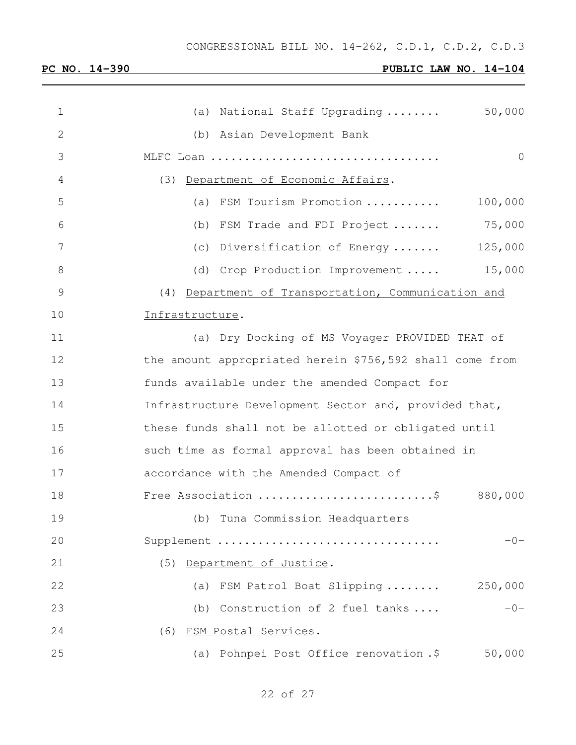| $\mathbf 1$     | 50,000<br>(a) National Staff Upgrading                   |
|-----------------|----------------------------------------------------------|
| $\mathbf{2}$    | (b) Asian Development Bank                               |
| 3               | $\overline{0}$<br>MLFC Loan                              |
| $\overline{4}$  | (3) Department of Economic Affairs.                      |
| 5               | 100,000<br>(a) FSM Tourism Promotion                     |
| 6               | 75,000<br>(b) FSM Trade and FDI Project                  |
| $7\phantom{.0}$ | 125,000<br>(c) Diversification of Energy                 |
| 8               | 15,000<br>(d) Crop Production Improvement                |
| $\mathcal{G}$   | (4) Department of Transportation, Communication and      |
| 10              | Infrastructure.                                          |
| 11              | (a) Dry Docking of MS Voyager PROVIDED THAT of           |
| 12              | the amount appropriated herein \$756,592 shall come from |
| 13              | funds available under the amended Compact for            |
| 14              | Infrastructure Development Sector and, provided that,    |
| 15              | these funds shall not be allotted or obligated until     |
| 16              | such time as formal approval has been obtained in        |
| 17              | accordance with the Amended Compact of                   |
| 18              | Free Association \$<br>880,000                           |
| 19              | (b) Tuna Commission Headquarters                         |
| 20              | Supplement<br>$-0-$                                      |
| 21              | (5) Department of Justice.                               |
| 22              | 250,000<br>(a) FSM Patrol Boat Slipping                  |
| 23              | $-0-$<br>(b) Construction of 2 fuel tanks                |
| 24              | (6) FSM Postal Services.                                 |
| 25              | (a) Pohnpei Post Office renovation .\$<br>50,000         |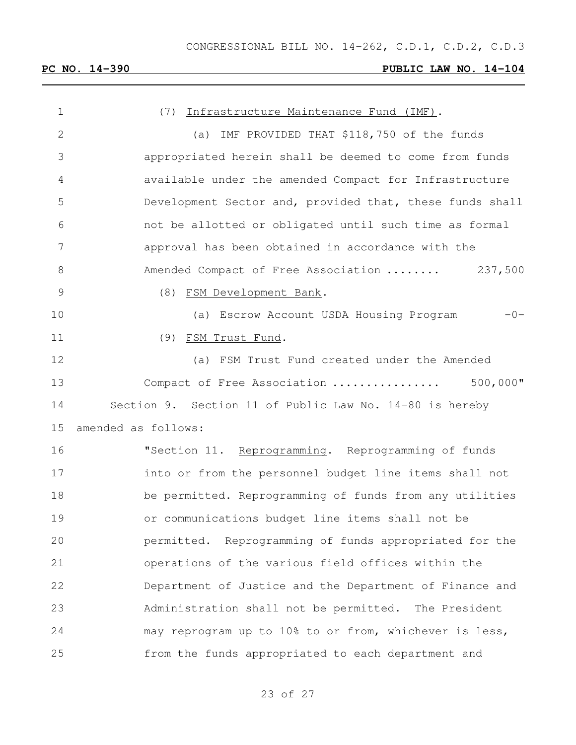| $\mathbf 1$     | (7) Infrastructure Maintenance Fund (IMF).               |
|-----------------|----------------------------------------------------------|
| $\mathbf{2}$    | (a) IMF PROVIDED THAT \$118,750 of the funds             |
| 3               | appropriated herein shall be deemed to come from funds   |
| $\overline{4}$  | available under the amended Compact for Infrastructure   |
| 5               | Development Sector and, provided that, these funds shall |
| 6               | not be allotted or obligated until such time as formal   |
| $7\phantom{.0}$ | approval has been obtained in accordance with the        |
| $8\,$           | Amended Compact of Free Association  237,500             |
| $\mathcal{G}$   | (8) FSM Development Bank.                                |
| 10              | $-0-$<br>(a) Escrow Account USDA Housing Program         |
| 11              | (9) FSM Trust Fund.                                      |
| 12              | (a) FSM Trust Fund created under the Amended             |
| 13              | $500,000$ "<br>Compact of Free Association               |
| 14              | Section 9. Section 11 of Public Law No. 14-80 is hereby  |
| 15              | amended as follows:                                      |
| 16              | "Section 11. Reprogramming. Reprogramming of funds       |
| 17              | into or from the personnel budget line items shall not   |
| 18              | be permitted. Reprogramming of funds from any utilities  |
| 19              | or communications budget line items shall not be         |
| 20              | permitted. Reprogramming of funds appropriated for the   |
| 21              | operations of the various field offices within the       |
| 22              | Department of Justice and the Department of Finance and  |
| 23              | Administration shall not be permitted. The President     |
| 24              | may reprogram up to 10% to or from, whichever is less,   |
| 25              | from the funds appropriated to each department and       |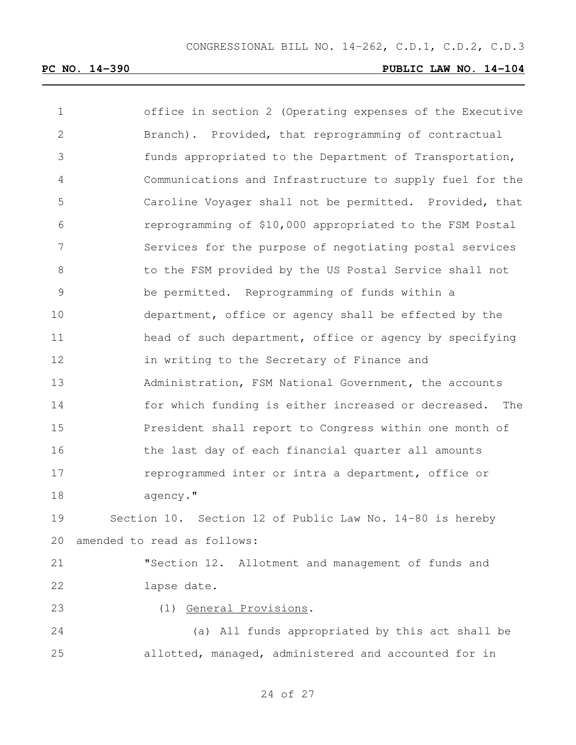| $\mathbf 1$     | office in section 2 (Operating expenses of the Executive |
|-----------------|----------------------------------------------------------|
| $\mathbf{2}$    | Branch). Provided, that reprogramming of contractual     |
| 3               | funds appropriated to the Department of Transportation,  |
| 4               | Communications and Infrastructure to supply fuel for the |
| 5               | Caroline Voyager shall not be permitted. Provided, that  |
| 6               | reprogramming of \$10,000 appropriated to the FSM Postal |
| $7\phantom{.0}$ | Services for the purpose of negotiating postal services  |
| $\,8\,$         | to the FSM provided by the US Postal Service shall not   |
| $\mathcal{G}$   | be permitted. Reprogramming of funds within a            |
| 10              | department, office or agency shall be effected by the    |
| 11              | head of such department, office or agency by specifying  |
| 12              | in writing to the Secretary of Finance and               |
| 13              | Administration, FSM National Government, the accounts    |
| 14              | for which funding is either increased or decreased. The  |
| 15              | President shall report to Congress within one month of   |
| 16              | the last day of each financial quarter all amounts       |
| 17              | reprogrammed inter or intra a department, office or      |
| 18              | agency."                                                 |
| 19              | Section 10. Section 12 of Public Law No. 14-80 is hereby |
| 20              | amended to read as follows:                              |
| 21              | "Section 12. Allotment and management of funds and       |
| 22              | lapse date.                                              |
| 23              | (1) General Provisions.                                  |
| 24              | (a) All funds appropriated by this act shall be          |
| 25              | allotted, managed, administered and accounted for in     |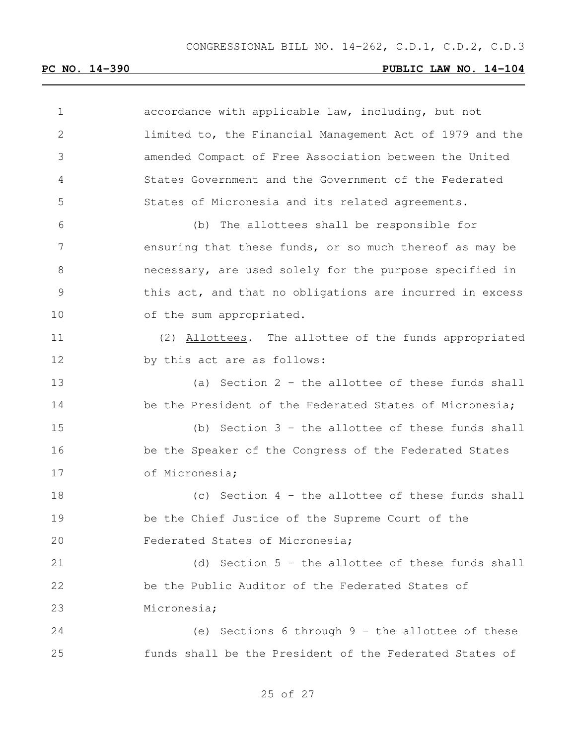| 1             | accordance with applicable law, including, but not       |
|---------------|----------------------------------------------------------|
| $\mathbf{2}$  | limited to, the Financial Management Act of 1979 and the |
| 3             | amended Compact of Free Association between the United   |
| 4             | States Government and the Government of the Federated    |
| 5             | States of Micronesia and its related agreements.         |
| 6             | (b) The allottees shall be responsible for               |
| 7             | ensuring that these funds, or so much thereof as may be  |
| 8             | necessary, are used solely for the purpose specified in  |
| $\mathcal{G}$ | this act, and that no obligations are incurred in excess |
| 10            | of the sum appropriated.                                 |
| 11            | (2) Allottees. The allottee of the funds appropriated    |
| 12            | by this act are as follows:                              |
| 13            | (a) Section $2$ - the allottee of these funds shall      |
| 14            | be the President of the Federated States of Micronesia;  |
| 15            | (b) Section $3$ - the allottee of these funds shall      |
| 16            | be the Speaker of the Congress of the Federated States   |
| 17            | of Micronesia;                                           |
| 18            | (c) Section $4$ - the allottee of these funds shall      |
| 19            | be the Chief Justice of the Supreme Court of the         |
| 20            | Federated States of Micronesia;                          |
| 21            | (d) Section $5$ - the allottee of these funds shall      |
| 22            | be the Public Auditor of the Federated States of         |
| 23            | Micronesia;                                              |
| 24            | (e) Sections 6 through $9$ - the allottee of these       |
| 25            | funds shall be the President of the Federated States of  |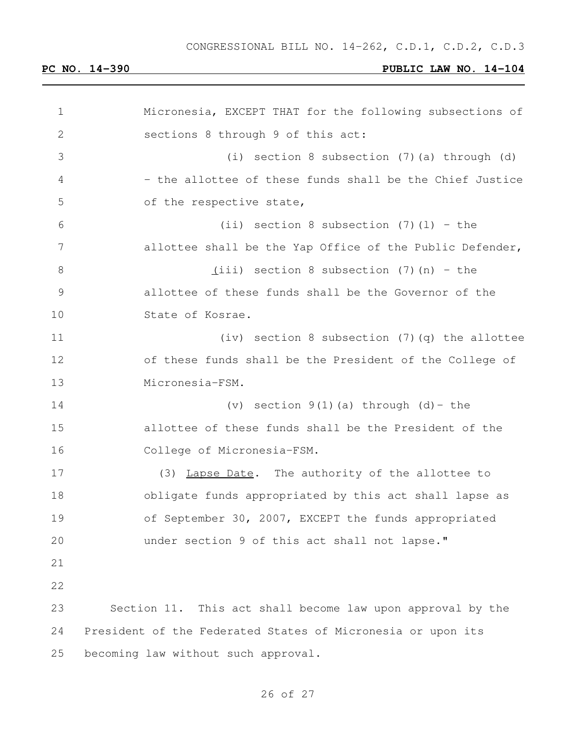| $\mathbf 1$   | Micronesia, EXCEPT THAT for the following subsections of    |
|---------------|-------------------------------------------------------------|
| $\mathbf{2}$  | sections 8 through 9 of this act:                           |
| 3             | (i) section 8 subsection (7) (a) through (d)                |
| 4             | - the allottee of these funds shall be the Chief Justice    |
| 5             | of the respective state,                                    |
| 6             | (ii) section 8 subsection $(7)$ (1) - the                   |
| 7             | allottee shall be the Yap Office of the Public Defender,    |
| 8             | $(iii)$ section 8 subsection (7) (n) - the                  |
| $\mathcal{G}$ | allottee of these funds shall be the Governor of the        |
| 10            | State of Kosrae.                                            |
| 11            | (iv) section 8 subsection $(7)$ $(q)$ the allottee          |
| 12            | of these funds shall be the President of the College of     |
| 13            | Micronesia-FSM.                                             |
| 14            | (v) section $9(1)$ (a) through $(d)$ - the                  |
| 15            | allottee of these funds shall be the President of the       |
| 16            | College of Micronesia-FSM.                                  |
| 17            | (3) Lapse Date. The authority of the allottee to            |
| 18            | obligate funds appropriated by this act shall lapse as      |
| 19            | of September 30, 2007, EXCEPT the funds appropriated        |
| 20            | under section 9 of this act shall not lapse."               |
| 21            |                                                             |
| 22            |                                                             |
| 23            | Section 11. This act shall become law upon approval by the  |
| 24            | President of the Federated States of Micronesia or upon its |
| 25            | becoming law without such approval.                         |
|               |                                                             |